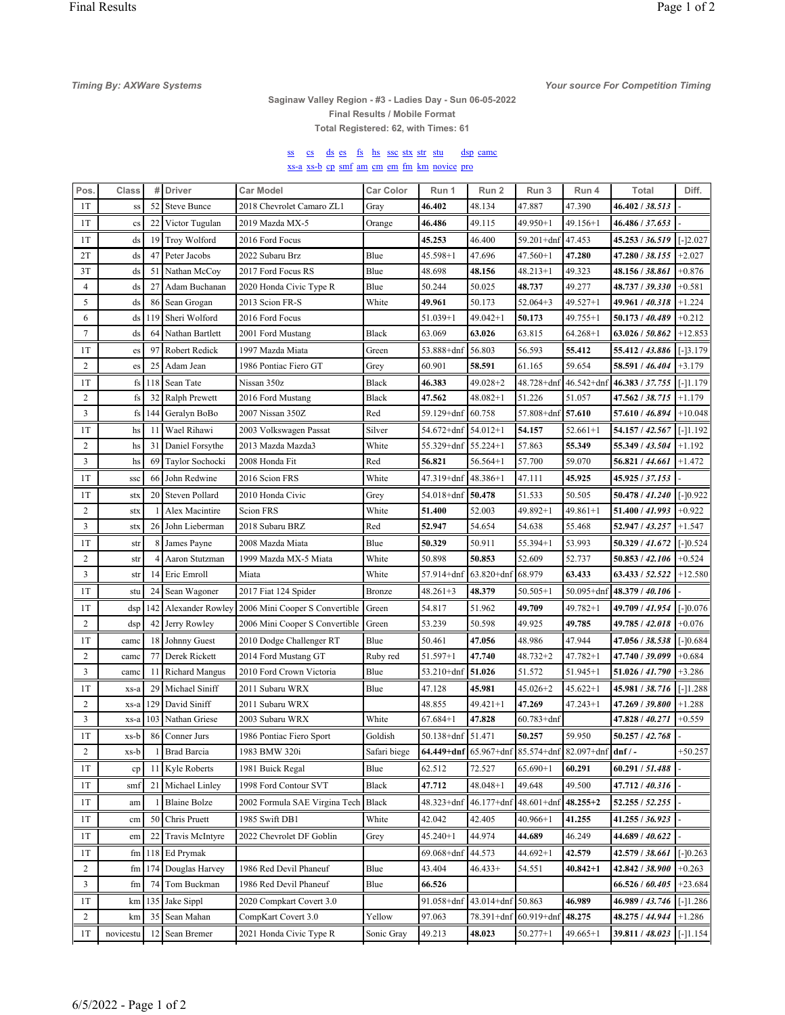**Timing By: AXWare Systems** 

## Your source For Competition Timing

## Saginaw Valley Region - #3 - Ladies Day - Sun 06-05-2022 Final Results / Mobile Format Total Registered: 62, with Times: 61

## ss cs ds es fs hs ssc stx str stu dsp came xs-a xs-b cp smf am cm em fm km novice pro

| Pos.           | Class                  | #               | <b>Driver</b>         | Car Model                      | <b>Car Color</b> | Run 1                 | Run 2             | Run 3                             | Run 4          | Total                                 | Diff.       |
|----------------|------------------------|-----------------|-----------------------|--------------------------------|------------------|-----------------------|-------------------|-----------------------------------|----------------|---------------------------------------|-------------|
| 1T             | SS                     | 52              | <b>Steve Bunce</b>    | 2018 Chevrolet Camaro ZL1      | Gray             | 46.402                | 48.134            | 47.887                            | 47.390         | 46.402 / 38.513                       |             |
| 1T             | $\mathbf{c}\mathbf{s}$ | 22              | Victor Tugulan        | 2019 Mazda MX-5                | Orange           | 46.486                | 49.115            | 49.950+1                          | $49.156 + 1$   | 46.486 / 37.653                       |             |
| 1T             | ds                     | 19              | Troy Wolford          | 2016 Ford Focus                |                  | 45.253                | 46.400            | 59.201+dnf 47.453                 |                | 45.253 / 36.519                       | $[-12.027]$ |
| 2T             | ds                     | 47              | Peter Jacobs          | 2022 Subaru Brz                | Blue             | $45.598 + 1$          | 47.696            | $47.560 + 1$                      | 47.280         | 47.280 / 38.155                       | $+2.027$    |
| 3T             | ds                     | 51              | Nathan McCoy          | 2017 Ford Focus RS             | Blue             | 48.698                | 48.156            | $48.213 + 1$                      | 49.323         | 48.156 / 38.861                       | $+0.876$    |
| $\overline{4}$ | ds                     | 27              | Adam Buchanan         | 2020 Honda Civic Type R        | Blue             | 50.244                | 50.025            | 48.737                            | 49.277         | 48.737 / 39.330                       | $+0.581$    |
| 5              | ds                     | 86              | Sean Grogan           | 2013 Scion FR-S                | White            | 49.961                | 50.173            | $52.064+3$                        | $49.527 + 1$   | 49.961 / 40.318                       | $+1.224$    |
| 6              | ds                     | 119             | Sheri Wolford         | 2016 Ford Focus                |                  | $51.039 + 1$          | $49.042 + 1$      | 50.173                            | $49.755 + 1$   | 50.173 / 40.489                       | $+0.212$    |
| $\tau$         | ds                     | 64              | Nathan Bartlett       | 2001 Ford Mustang              | Black            | 63.069                | 63.026            | 63.815                            | $64.268 + 1$   | 63.026 / 50.862                       | $+12.853$   |
| 1T             | es                     | 97              | Robert Redick         | 1997 Mazda Miata               | Green            | 53.888+dnf            | 56.803            | 56.593                            | 55.412         | 55.412 / 43.886                       | $[-]3.179$  |
| $\overline{c}$ | es                     | 25              | Adam Jean             | 1986 Pontiac Fiero GT          | Grey             | 60.901                | 58.591            | 61.165                            | 59.654         | 58.591 / 46.404                       | $+3.179$    |
| 1T             | fs                     | 118             | Sean Tate             | Nissan 350z                    | Black            | 46.383                | $49.028 + 2$      |                                   |                | 48.728+dnf 46.542+dnf 46.383 / 37.755 | [[-11.179]  |
| 2              | fs                     | 32              | Ralph Prewett         | 2016 Ford Mustang              | Black            | 47.562                | $48.082 + 1$      | 51.226                            | 51.057         | 47.562 / 38.715                       | $+1.179$    |
| 3              | fs                     | 144             | Geralyn BoBo          | 2007 Nissan 350Z               | Red              | 59.129+dnf            | 60.758            | $57.808 + dnf$ 57.610             |                | 57.610 / 46.894                       | $+10.048$   |
| 1T             | hs                     | 11              | Wael Rihawi           | 2003 Volkswagen Passat         | Silver           | $54.672 + dnf$        | $54.012 + 1$      | 54.157                            | $52.661+1$     | 54.157 / 42.567                       | $[-]1.192$  |
| 2              | hs                     | 31              | Daniel Forsythe       | 2013 Mazda Mazda3              | White            | 55.329+dnf            | $55.224 + 1$      | 57.863                            | 55.349         | 55.349 / 43.504                       | $+1.192$    |
| 3              | hs                     | 69              | Taylor Sochocki       | 2008 Honda Fit                 | Red              | 56.821                | $56.564+1$        | 57.700                            | 59.070         | 56.821 / 44.661                       | $+1.472$    |
| 1T             | ssc                    | 66              | John Redwine          | 2016 Scion FRS                 | White            | 47.319+dnf            | $ 48.386+1$       | 47.111                            | 45.925         | 45.925 / 37.153                       |             |
| 1T             | stx                    | 20              | Steven Pollard        | 2010 Honda Civic               | Grey             | 54.018+dnf            | 50.478            | 51.533                            | 50.505         | 50.478 / 41.240                       | $[-]0.922$  |
| 2              | stx                    |                 | Alex Macintire        | <b>Scion FRS</b>               | White            | 51.400                | 52.003            | 49.892+1                          | $49.861 + 1$   | 51.400 / 41.993                       | $+0.922$    |
| 3              | stx                    | 26              | John Lieberman        | 2018 Subaru BRZ                | Red              | 52.947                | 54.654            | 54.638                            | 55.468         | 52.947 / 43.257                       | $+1.547$    |
| 1T             | str                    | 8               | James Payne           | 2008 Mazda Miata               | Blue             | 50.329                | 50.911            | $55.394 + 1$                      | 53.993         | 50.329 / 41.672                       | $[-]0.524$  |
| 2              | str                    | 4               | Aaron Stutzman        | 1999 Mazda MX-5 Miata          | White            | 50.898                | 50.853            | 52.609                            | 52.737         | 50.853 / 42.106                       | $+0.524$    |
| 3              | str                    | 14 <sub>1</sub> | Eric Emroll           | Miata                          | White            | 57.914+dnf            | $63.820 + dnf$    | 68.979                            | 63.433         | 63.433 / 52.522                       | $+12.580$   |
| 1T             | stu                    | 24              | Sean Wagoner          | 2017 Fiat 124 Spider           | Bronze           | 48.261+3              | 48.379            | $50.505 + 1$                      | $50.095 + dnf$ | 48.379 / 40.106                       |             |
| 1T             | dsp                    | 142             | Alexander Rowley      | 2006 Mini Cooper S Convertible | Green            | 54.817                | 51.962            | 49.709                            | 49.782+1       | 49.709 / 41.954                       | $[-]0.076$  |
| 2              | dsp                    | 42              | Jerry Rowley          | 2006 Mini Cooper S Convertible | Green            | 53.239                | 50.598            | 49.925                            | 49.785         | 49.785 / 42.018                       | $+0.076$    |
| 1T             | camc                   | 18              | Johnny Guest          | 2010 Dodge Challenger RT       | Blue             | 50.461                | 47.056            | 48.986                            | 47.944         | 47.056 / 38.538                       | $[-]0.684$  |
| $\overline{c}$ | camc                   | 77              | Derek Rickett         | 2014 Ford Mustang GT           | Ruby red         | 51.597+1              | 47.740            | $48.732 + 2$                      | $47.782 + 1$   | 47.740 / 39.099                       | $+0.684$    |
| 3              | camc                   | 11              | <b>Richard Mangus</b> | 2010 Ford Crown Victoria       | Blue             | $53.210 + dnf$        | 51.026            | 51.572                            | $51.945 + 1$   | 51.026 / 41.790                       | $+3.286$    |
| 1T             | xs-a                   | 29              | Michael Siniff        | 2011 Subaru WRX                | Blue             | 47.128                | 45.981            | 45.026+2                          | $45.622 + 1$   | 45.981 / 38.716                       | $[-]1.288$  |
| $\overline{c}$ | xs-a                   | 129             | David Siniff          | 2011 Subaru WRX                |                  | 48.855                | $49.421 + 1$      | 47.269                            | $47.243 + 1$   | 47.269 / 39.800                       | $+1.288$    |
| 3              | xs-a                   | 103             | Nathan Griese         | 2003 Subaru WRX                | White            | $67.684 + 1$          | 47.828            | $60.783 + dnf$                    |                | 47.828 / 40.271                       | $+0.559$    |
| 1T             | xs-b                   | 86              | Conner Jurs           | 1986 Pontiac Fiero Sport       | Goldish          | $50.138 + dnf$        | 51.471            | 50.257                            | 59.950         | 50.257 / 42.768                       |             |
| $\overline{c}$ | xs-b                   | 1               | Brad Barcia           | 1983 BMW 320i                  | Safari biege     | 64.449+dnf 65.967+dnf |                   | $85.574 + dnf$ 82.097+dnf dnf / - |                |                                       | $+50.257$   |
| 1T             | cp                     | 11              | Kyle Roberts          | 1981 Buick Regal               | Blue             | 62.512                | 72.527            | $65.690+1$                        | 60.291         | 60.291 / 51.488                       |             |
| 1T             | smf                    | 21              | Michael Linley        | 1998 Ford Contour SVT          | Black            | 47.712                | 48.048+1          | 49.648                            | 49.500         | 47.712 / 40.316                       |             |
| 1T             | am                     |                 | <b>Blaine Bolze</b>   | 2002 Formula SAE Virgina Tech  | <b>Black</b>     | 48.323+dnf            | 46.177+dnf        | 48.601+dnf                        | $48.255 + 2$   | 52.255 / 52.255                       |             |
| 1T             | cm                     | 50              | Chris Pruett          | 1985 Swift DB1                 | White            | 42.042                | 42.405            | $40.966 + 1$                      | 41.255         | 41.255 / 36.923                       |             |
| 1T             | em                     | 22              | Travis McIntyre       | 2022 Chevrolet DF Goblin       | Grey             | $45.240 + 1$          | 44.974            | 44.689                            | 46.249         | 44.689 / 40.622                       |             |
| 1T             | fm                     | 118             | Ed Prymak             |                                |                  | $69.068 + dnf$        | 44.573            | $44.692 + 1$                      | 42.579         | 42.579 / 38.661                       | $[-]0.263$  |
| 2              | fm                     | 174             | Douglas Harvey        | 1986 Red Devil Phaneuf         | Blue             | 43.404                | $46.433+$         | 54.551                            | $40.842 + 1$   | 42.842 / 38.900                       | $+0.263$    |
| 3              | fm                     | 74              | Tom Buckman           | 1986 Red Devil Phaneuf         | Blue             | 66.526                |                   |                                   |                | 66.526 / 60.405                       | $+23.684$   |
| 1T             | km                     | 135             | Jake Sippl            | 2020 Compkart Covert 3.0       |                  | 91.058+dnf            | 43.014+dnf 50.863 |                                   | 46.989         | 46.989 / 43.746                       | $[-]1.286$  |
| $\overline{c}$ | km                     | 35              | Sean Mahan            | CompKart Covert 3.0            | Yellow           | 97.063                | 78.391+dnf        | $60.919 + dnf$                    | 48.275         | 48.275 / 44.944                       | $+1.286$    |
| 1T             | novicestu              | 12              | Sean Bremer           | 2021 Honda Civic Type R        | Sonic Gray       | 49.213                | 48.023            | $50.277 + 1$                      | $49.665 + 1$   | 39.811 / 48.023                       | $[-]1.154$  |
|                |                        |                 |                       |                                |                  |                       |                   |                                   |                |                                       |             |